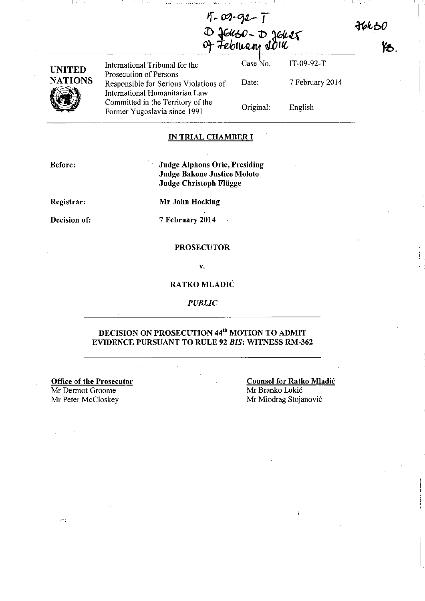36k30<br>- YB.

 $\mathbb{I} \subset \mathbb{I}$ 

|                | D fenso-D jener<br>of February Join                                     |           |                 |
|----------------|-------------------------------------------------------------------------|-----------|-----------------|
| <b>UNITED</b>  | International Tribunal for the<br>Prosecution of Persons                | Case No.  | IT-09-92-T      |
| <b>NATIONS</b> | Responsible for Serious Violations of<br>International Humanitarian Law | Date:     | 7 February 2014 |
|                | Committed in the Territory of the<br>Former Yugoslavia since 1991       | Original: | English         |

 $5 - 09 - 92 - 1$ 

r---

### **IN TRIAL CHAMBER I**

**Before:** 

**Judge Alphons Orie, Presiding Judge Bakone Justice Moloto Judge Christoph Fliigge** 

**Registrar:** 

**Mr John Hocking** 

**Decision of:** 

7 **February 2014** 

#### **PROSECUTOR**

v.

### **RATKOMLADIC**

*PUBLIC* 

# **DECISION ON PROSECUTION 44'10 MOTION TO ADMIT EVIDENCE PURSUANT TO RULE 92** *BIS:* **WITNESS RM-362**

**Office of the Prosecutor**  Mr Dermot Groome Mr Peter McCloskey

 $\left( -\right)$ 

**Counsel for Ratko Mladic**  Mr Branko Lukic Mr Miodrag Stojanovic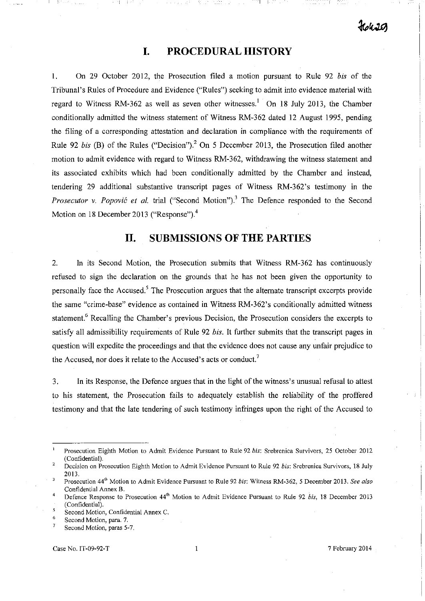I I I :----\_

# **I. PROCEDURAL HISTORY**

1. On 29 October 2012, the Prosecution filed a motion pursuant to Rule 92 *bis* of the Tribunal's Rules of Procedure and Evidence ("Rules") seeking to admit into evidence material with regard to Witness RM-362 as well as seven other witnesses.<sup>1</sup> On 18 July 2013, the Chamber conditionally admitted the witness statement of Witness RM-362 dated 12 August 1995, pending the filing of a corresponding attestation and declaration in compliance with the requirements of Rule 92 *his* (B) of the Rules ("Decision")? On 5 December 2013, the Prosecution filed another motion to admit evidence with regard to Witness RM-362, withdrawing the witness statement and its associated exhibits which had been conditionally admitted by the Chamber and instead, tendering 29 additional substantive transcript pages of Witness RM-362's testimony in the *Prosecutor v. Popović et al.* trial ("Second Motion").<sup>3</sup> The Defence responded to the Second Motion on 18 December 2013 ("Response"). $4$ 

# **II. SUBMISSIONS OF THE PARTIES**

2. In its Second Motion, the Prosecution submits that Witness RM-362 has continuously refused to sign the declaration on the grounds that he has not been given the opportunity to personally face the Accused.<sup>5</sup> The Prosecution argues that the alternate transcript excerpts provide the same "crime-base" evidence as contained in Witness RM-362's conditionally admitted witness statement.<sup>6</sup> Recalling the Chamber's previous Decision, the Prosecution considers the excerpts to satisfy all admissibility requirements of Rule 92 *bis.* It further submits that the transcript pages in question will expedite the proceedings and that the evidence does not cause any unfair prejudice to the Accused, nor does it relate to the Accused's acts or conduct,'

3. In its Response, the Defence argues that in the light of the witness's unusual refusal to attest to his statement, the Prosecution fails to adequately establish the reliability of the proffered testimony and that the late tendering of such testimony infringes upon the right of the Accused to

**Prosecution Eighth Motion to Admit Evidence Pursuant to Rule 92 bis: Srebrenica Survivors, 25 October 2012**  (Confidential).

<sup>2</sup>  **Decision on Prosecution Eighth Motion to Admit Evidence Pursuant to Rule 92 his: Srebrenica Survivors, 18 July**  2013.  $\overline{3}$ 

**Prosecution 44lh Motion to Admit Evidence Pursuant to Rule 92** *his:* **Witness RM-362, 5 December 2013.** *See also*  **Confidential Annex B.** 

 $\overline{4}$ **Defence Response to Prosecution 441h Motion to Admit Evidence Pursuant to Rule 92** *his,* **18 December 2013**  (Confidential). 5

<sup>6</sup>  **Second Motion, Confidential Annex C.** 

**Second Motion, para. 7.**   $\overline{7}$ 

**Second Motion, paras 5-7.**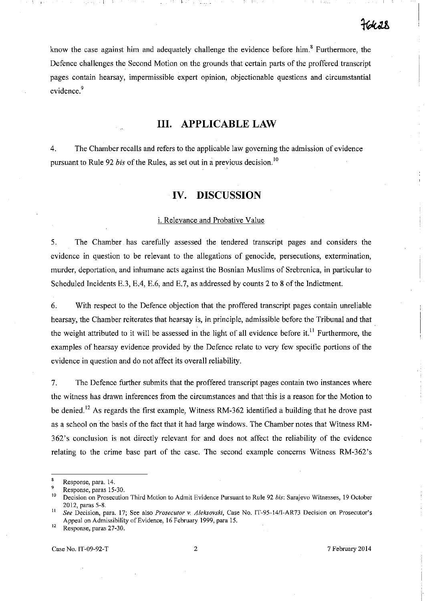know the case against him and adequately challenge the evidence before him.<sup>8</sup> Furthermore, the Defence challenges the Second Motion on the grounds that certain parts of the proffered transcript pages contain hearsay, impermissible expert opinion, objectionable questions and circumstantial evidence.<sup>9</sup>

### **III. APPLICABLE LAW**

4. The Chamber recalls and refers to the applicable law governing the admission of evidence pursuant to Rule 92 *bis* of the Rules, as set out in a previous decision.<sup>10</sup>

# **IV. DISCUSSION**

#### i. Relevance and Probative Value

5. The Chamber has carefully assessed the tendered transcript pages and considers the evidence in question to be relevant to the allegations of genocide, persecutions, extermination, murder, deportation, and inhumane acts against the Bosnian Muslims of Srebrenica, in particular to Scheduled Incidents E.3, EA, E.6, and E.7, as addressed by counts 2 to 8 of the Indictment.

6. With respect to the Defence objection that the proffered transcript pages contain unreliable hearsay, the Chamber reiterates that hearsay is, in principle, admissible before the Tribunal and that the weight attributed to it will be assessed in the light of all evidence before it.<sup>11</sup> Furthermore, the examples of hearsay evidence provided by the Defence relate to very few specific portions of the evidence in question and do not affect its overall reliability.

7. The Defence further submits that the proffered transcript pages contain two instances where the witness has drawn inferences from the circumstances and that this is a reason for the Motion to be denied.<sup>12</sup> As regards the first example, Witness RM-362 identified a building that he drove past as a school on the basis of the fact that it had large windows. The Chamber notes that Witness RM-362's conclusion is not directly relevant for and does not affect the reliability of the evidence relating to the crime base part of the case. The second example concerns Witness RM-362's

 $\overline{\mathbf{8}}$ **Response, para. 14.** 

<sup>&</sup>lt;sup>9</sup> Response, paras 15-30.

**to Decision on Prosecution Third Motion to Admit Evidence Pursuant to Rule 92** *his:* **Sarajevo Witnesses, 19 October**  2012, paras 5-8.

**<sup>11</sup>***See* **Decision, para. 17; See also** *Prosecutor* **v.** *Aleksovski,* **Case No. IT-95-14/I-AR73 Decision on Prosecutor's**  Appeal on Admissibility of Evidence, 16 February 1999, para 15.

**<sup>12</sup>Response, paras 27-30.**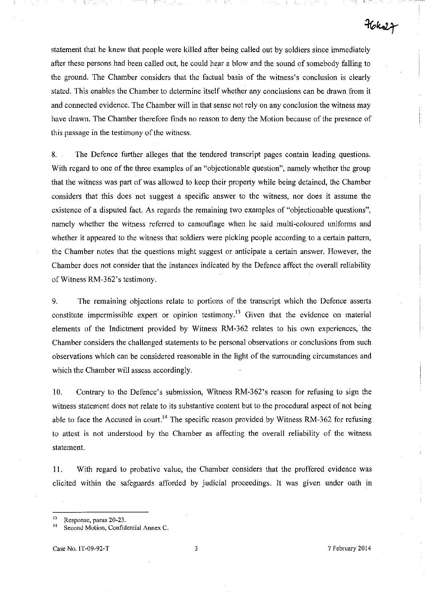statement that he knew that people were killed after being called out by soldiers since immediately after these persons had been called out, he could hear a blow and the sound of somebody falling to the ground. The Chamber considers that the factual basis of the witness's conclusion is clearly stated. This enables the Chamber to determine itself whether any conclusions can be drawn from it and connected evidence. The Chamber will in that sense not rely on any conclusion the witness may have drawn. The Chamber therefore finds no reason to deny the Motion because of the presence of this passage in the testimony of the witness.

r----

8. The Defence further alleges that the tendered transcript pages contain leading questions. With regard to one of the three examples of an "objectionable question", namely whether the group that the witness was part of was allowed to keep their property while being detained, the Chamber considers that this does not suggest a specific answer to the witness, nor does it assume the existence of a disputed fact. As regards the remaining two examples of "objectionable questions", namely whether the witness referred to camouflage when he said multi-coloured uniforms and whether it appeared to the witness that soldiers were picking people according to a certain pattern, the Chamber notes that the questions might suggest or anticipate a certain answer. However, the Chamber does not consider that the instances indicated by the Defence affect the overall reliability of Witness RM-362's testimony.

9. The remaining objections relate to portions of the transcript which the Defence asserts constitute impermissible expert or opinion testimony.<sup>13</sup> Given that the evidence on material elements of the Indictment provided by Witness RM-362 relates to his own experiences, the Chamber considers the challenged statements to be personal observations or conclusions from such observations which can be considered reasonable in the light of the surrounding circumstances and which the Chamber will assess accordingly.

10. Contrary to the Defence's submission, Witness RM-362's reason for refusing to sign the witness statement does not relate to its substantive content but to the procedural aspect of not being able to face the Accused in court.<sup>14</sup> The specific reason provided by Witness RM-362 for refusing to attest is not understood by the Chamber as affecting the overall reliability of the witness statement.

11. With regard to probative value, the Chamber considers that the proffered evidence was elicited within the safeguards afforded by judicial proceedings. It was given under oath in

 $76k$ 

<sup>&</sup>lt;sup>13</sup> Response, paras 20-23.

**<sup>14</sup>Second Motion, Confidential Annex C.**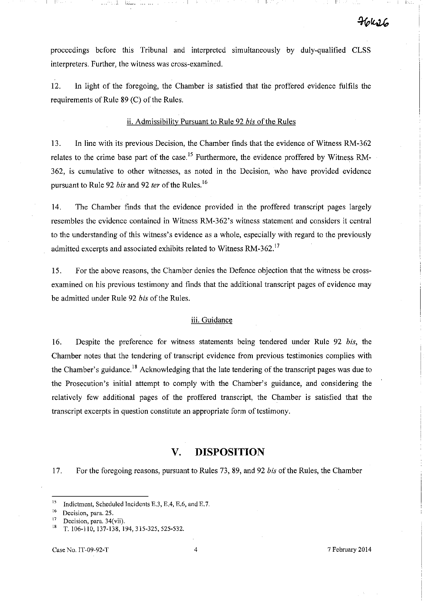proceedings before this Tribunal and interpreted simultaneously by duly-qualified CLSS interpreters. Further, the witness was cross-examined.

12. In light of the foregoing, the Chamber is satisfied that the proffered evidence fulfils the requirements of Rule  $89$  (C) of the Rules.

### ii. Admissibility Pursuant to Rule 92 *bis* of the Rules

13. In line with its previous Decision, the Chamber finds that the evidence of Witness RM-362 relates to the crime base part of the case.<sup>15</sup> Furthermore, the evidence proffered by Witness RM-362, is cumulative to other witnesses, as noted in the Decision, who have provided evidence pursuant to Rule 92 *bis* and 92 *fer* of the Rules. <sup>16</sup>

14. The Chamber finds that the evidence provided in the proffered transcript pages largely resembles the evidence contained in Witness RM-362's witness statement and considers it central to the understanding of this witness's evidence as a whole, especially with regard to the previously admitted excerpts and associated exhibits related to Witness RM-362.<sup>17</sup>

15. For the above reasons, the Chamber denies the Defence objection that the witness be crossexamined on his previous testimony and finds that the additional transcript pages of evidence may be admitted under Rule 92 *bis* of the Rules.

#### iii. Guidance

16. Despite the preference for witness statements being tendered under Rule 92 *bis,* the Chamber notes that the tendering of transcript evidence from previous testimonies complies with the Chamber's guidance.<sup>18</sup> Acknowledging that the late tendering of the transcript pages was due to the Prosecution's initial attempt to comply with the Chamber's guidance, and considering the relatively few additional pages of the proffered transcript, the Chamber is satisfied that the transcript excerpts in question constitute an appropriate form of testimony.

# **V. DISPOSITION**

17. For the foregoing reasons, pursuant to Rules 73, 89, and 92 *bis* of the Rules, the Chamber

I i--

**<sup>15</sup>Indictment, Scheduled Incidents E.3, EA, E.6, and E.7.** 

<sup>16</sup>**Decision, para. 25.** 

<sup>&</sup>lt;sup>17</sup> Decision, para. 34(vii).<br><sup>18</sup> T 106 110 127 128 1

<sup>18</sup> T. 106-110, 137-138, 194,315-325,525-532.